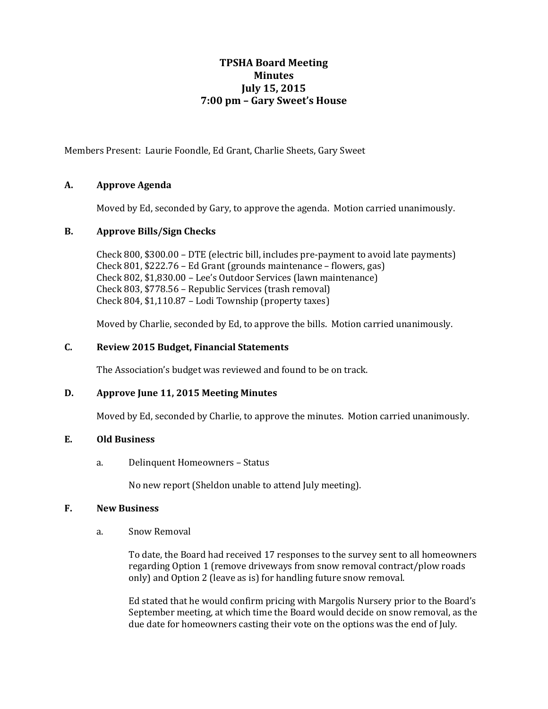# **TPSHA Board Meeting Minutes July 15, 2015 7:00 pm – Gary Sweet's House**

Members Present: Laurie Foondle, Ed Grant, Charlie Sheets, Gary Sweet

# **A. Approve Agenda**

Moved by Ed, seconded by Gary, to approve the agenda. Motion carried unanimously.

# **B. Approve Bills/Sign Checks**

Check 800, \$300.00 – DTE (electric bill, includes pre-payment to avoid late payments) Check 801, \$222.76 – Ed Grant (grounds maintenance – flowers, gas) Check 802, \$1,830.00 – Lee's Outdoor Services (lawn maintenance) Check 803, \$778.56 – Republic Services (trash removal) Check 804, \$1,110.87 – Lodi Township (property taxes)

Moved by Charlie, seconded by Ed, to approve the bills. Motion carried unanimously.

# **C. Review 2015 Budget, Financial Statements**

The Association's budget was reviewed and found to be on track.

#### **D. Approve June 11, 2015 Meeting Minutes**

Moved by Ed, seconded by Charlie, to approve the minutes. Motion carried unanimously.

# **E. Old Business**

a. Delinquent Homeowners – Status

No new report (Sheldon unable to attend July meeting).

#### **F. New Business**

a. Snow Removal

To date, the Board had received 17 responses to the survey sent to all homeowners regarding Option 1 (remove driveways from snow removal contract/plow roads only) and Option 2 (leave as is) for handling future snow removal.

Ed stated that he would confirm pricing with Margolis Nursery prior to the Board's September meeting, at which time the Board would decide on snow removal, as the due date for homeowners casting their vote on the options was the end of July.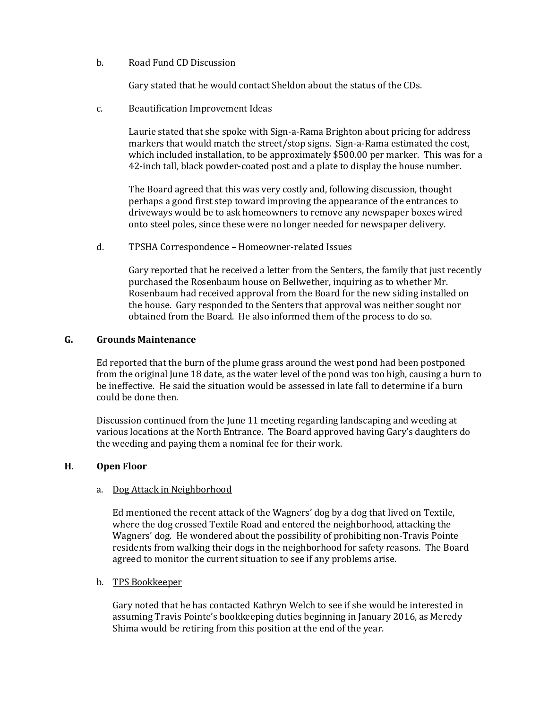b. Road Fund CD Discussion

Gary stated that he would contact Sheldon about the status of the CDs.

c. Beautification Improvement Ideas

Laurie stated that she spoke with Sign-a-Rama Brighton about pricing for address markers that would match the street/stop signs. Sign-a-Rama estimated the cost, which included installation, to be approximately \$500.00 per marker. This was for a 42-inch tall, black powder-coated post and a plate to display the house number.

The Board agreed that this was very costly and, following discussion, thought perhaps a good first step toward improving the appearance of the entrances to driveways would be to ask homeowners to remove any newspaper boxes wired onto steel poles, since these were no longer needed for newspaper delivery.

d. TPSHA Correspondence – Homeowner-related Issues

Gary reported that he received a letter from the Senters, the family that just recently purchased the Rosenbaum house on Bellwether, inquiring as to whether Mr. Rosenbaum had received approval from the Board for the new siding installed on the house. Gary responded to the Senters that approval was neither sought nor obtained from the Board. He also informed them of the process to do so.

# **G. Grounds Maintenance**

Ed reported that the burn of the plume grass around the west pond had been postponed from the original June 18 date, as the water level of the pond was too high, causing a burn to be ineffective. He said the situation would be assessed in late fall to determine if a burn could be done then.

Discussion continued from the June 11 meeting regarding landscaping and weeding at various locations at the North Entrance. The Board approved having Gary's daughters do the weeding and paying them a nominal fee for their work.

#### **H. Open Floor**

#### a. Dog Attack in Neighborhood

Ed mentioned the recent attack of the Wagners' dog by a dog that lived on Textile, where the dog crossed Textile Road and entered the neighborhood, attacking the Wagners' dog. He wondered about the possibility of prohibiting non-Travis Pointe residents from walking their dogs in the neighborhood for safety reasons. The Board agreed to monitor the current situation to see if any problems arise.

#### b. TPS Bookkeeper

Gary noted that he has contacted Kathryn Welch to see if she would be interested in assuming Travis Pointe's bookkeeping duties beginning in January 2016, as Meredy Shima would be retiring from this position at the end of the year.